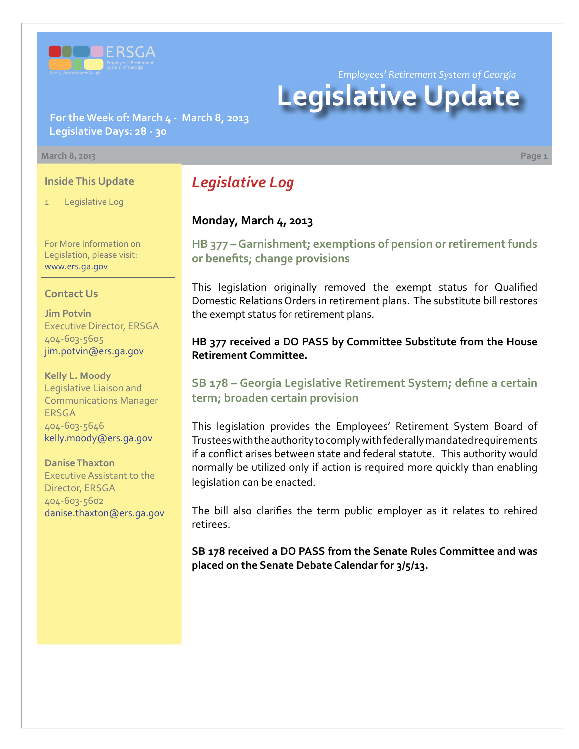

*Employees' Retirement System of Georgia*

# **Legislative Update**

**For the Week of: March 4 - March 8, 2013 Legislative Days: 28 - 30**

#### **March 8, 2013 Page 1**

### **Inside This Update**

Legislative Log

For More Information on Legislation, please visit: [www.ers.ga.gov](http://www.ers.ga.gov/default.aspx)

### **Contact Us**

**Jim Potvin** Executive Director, ERSGA 404-603-5605 jim.potvin@ers.ga.gov

**Kelly L. Moody** Legislative Liaison and Communications Manager **ERSGA** 404-603-5646 kelly.moody@ers.ga.gov

**Danise Thaxton** Executive Assistant to the Director, ERSGA 404-603-5602 danise.thaxton@ers.ga.gov

## *Legislative Log*

### **Monday, March 4, 2013**

**HB 37[7 – G](http://www.legis.ga.gov/legislation/en-US/Display/20132014/HB/377)arnishment; exemptions of pension or retirement funds or benefits; change provisions**

This legislation originally removed the exempt status for Qualified Domestic Relations Orders in retirement plans. The substitute bill restores the exempt status for retirement plans.

### **HB 377 received a DO PASS by Committee Substitute from the House Retirement Committee.**

### **S[B 178 – G](http://www.legis.ga.gov/legislation/en-US/Display/20132014/SB/178)eorgia Legislative Retirement System; define a certain term; broaden certain provision**

This legislation provides the Employees' Retirement System Board of Trustees with the authority to comply with federally mandated requirements if a conflict arises between state and federal statute. This authority would normally be utilized only if action is required more quickly than enabling legislation can be enacted.

The bill also clarifies the term public employer as it relates to rehired retirees.

**SB 178 received a DO PASS from the Senate Rules Committee and was placed on the Senate Debate Calendar for 3/5/13.**